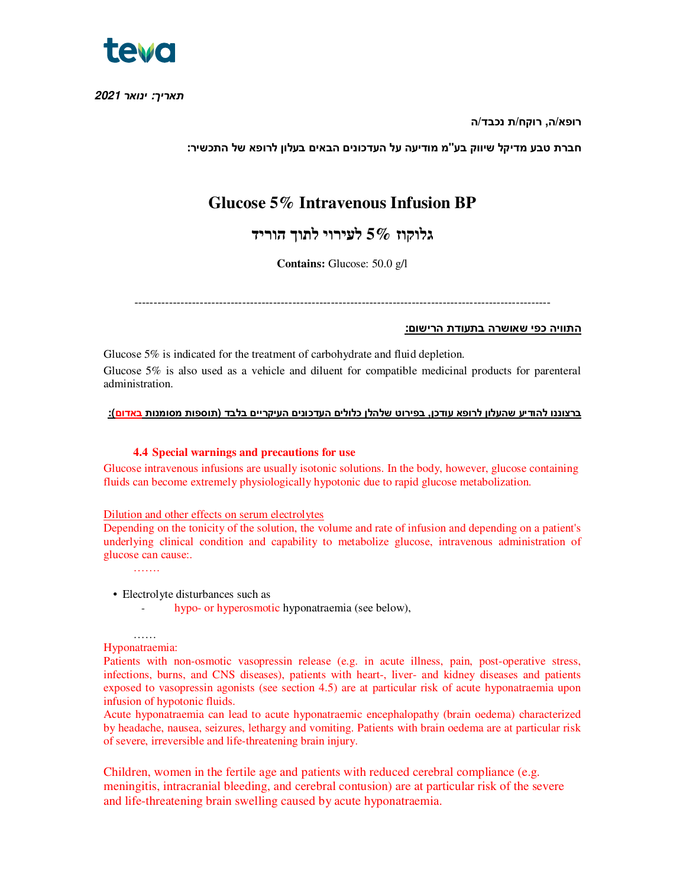

*תאריך***:** *ינואר* **2021**

**רופא/ה, רוקח/ת נכבד/ה** 

**חברת טבע מדיקל שיווק בע"מ מודיעה על העדכונים הבאים בעלון לרופא של התכשיר:**

# **Glucose 5% Intravenous Infusion BP**

**גלוקוז 5% לעירוי לתוך הוריד**

**Contains:** Glucose: 50.0 g/l

------------------------------------------------------------------------------------------------------------

## **התוויה כפי שאושרה בתעודת הרישום:**

Glucose 5% is indicated for the treatment of carbohydrate and fluid depletion. Glucose 5% is also used as a vehicle and diluent for compatible medicinal products for parenteral administration.

## **ברצוננו להודיע שהעלון לרופא עודכן, בפירוט שלהלן כלולים העדכונים העיקריים בלבד (תוספות מסומנות באדום):**

#### **4.4 Special warnings and precautions for use**

Glucose intravenous infusions are usually isotonic solutions. In the body, however, glucose containing fluids can become extremely physiologically hypotonic due to rapid glucose metabolization.

#### Dilution and other effects on serum electrolytes

Depending on the tonicity of the solution, the volume and rate of infusion and depending on a patient's underlying clinical condition and capability to metabolize glucose, intravenous administration of glucose can cause:.

• Electrolyte disturbances such as

- hypo- or hyperosmotic hyponatraemia (see below),

…… Hyponatraemia:

…….

Patients with non-osmotic vasopressin release (e.g. in acute illness, pain, post-operative stress, infections, burns, and CNS diseases), patients with heart-, liver- and kidney diseases and patients exposed to vasopressin agonists (see section 4.5) are at particular risk of acute hyponatraemia upon infusion of hypotonic fluids.

Acute hyponatraemia can lead to acute hyponatraemic encephalopathy (brain oedema) characterized by headache, nausea, seizures, lethargy and vomiting. Patients with brain oedema are at particular risk of severe, irreversible and life-threatening brain injury.

Children, women in the fertile age and patients with reduced cerebral compliance (e.g. meningitis, intracranial bleeding, and cerebral contusion) are at particular risk of the severe and life-threatening brain swelling caused by acute hyponatraemia.